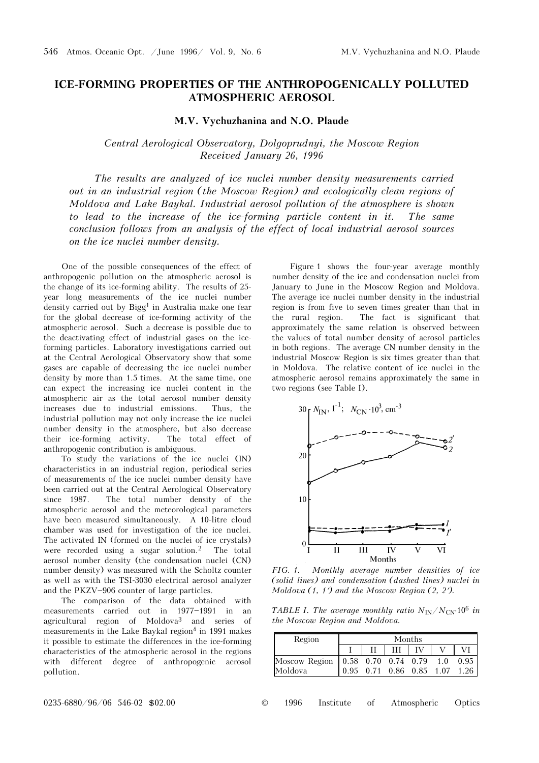## **ICE-FORMING PROPERTIES OF THE ANTHROPOGENICALLY POLLUTED ATMOSPHERIC AEROSOL**

## **M.V. Vychuzhanina and N.O. Plaude**

## *Central Aerological Observatory, Dolgoprudnyi, the Moscow Region Received January 26, 1996*

*The results are analyzed of ice nuclei number density measurements carried out in an industrial region (the Moscow Region) and ecologically clean regions of Moldova and Lake Baykal. Industrial aerosol pollution of the atmosphere is shown to lead to the increase of the ice-forming particle content in it. The same conclusion follows from an analysis of the effect of local industrial aerosol sources on the ice nuclei number density.* 

One of the possible consequences of the effect of anthropogenic pollution on the atmospheric aerosol is the change of its ice-forming ability. The results of 25 year long measurements of the ice nuclei number density carried out by Bigg<sup>1</sup> in Australia make one fear for the global decrease of ice-forming activity of the atmospheric aerosol. Such a decrease is possible due to the deactivating effect of industrial gases on the iceforming particles. Laboratory investigations carried out at the Central Aerological Observatory show that some gases are capable of decreasing the ice nuclei number density by more than 1.5 times. At the same time, one can expect the increasing ice nuclei content in the atmospheric air as the total aerosol number density increases due to industrial emissions. Thus, the industrial pollution may not only increase the ice nuclei number density in the atmosphere, but also decrease their ice-forming activity. The total effect of anthropogenic contribution is ambiguous.

To study the variations of the ice nuclei (IN) characteristics in an industrial region, periodical series of measurements of the ice nuclei number density have been carried out at the Central Aerological Observatory since 1987. The total number density of the atmospheric aerosol and the meteorological parameters have been measured simultaneously. A 10-litre cloud chamber was used for investigation of the ice nuclei. The activated IN (formed on the nuclei of ice crystals) were recorded using a sugar solution.2 The total aerosol number density (the condensation nuclei (CN) number density) was measured with the Scholtz counter as well as with the TSI-3030 electrical aerosol analyzer and the PKZV-906 counter of large particles.

The comparison of the data obtained with measurements carried out in  $1977-1991$  in an agricultural region of Moldova3 and series of measurements in the Lake Baykal region<sup>4</sup> in 1991 makes it possible to estimate the differences in the ice-forming characteristics of the atmospheric aerosol in the regions with different degree of anthropogenic aerosol pollution.

Figure 1 shows the four-year average monthly number density of the ice and condensation nuclei from January to June in the Moscow Region and Moldova. The average ice nuclei number density in the industrial region is from five to seven times greater than that in the rural region. The fact is significant that approximately the same relation is observed between the values of total number density of aerosol particles in both regions. The average CN number density in the industrial Moscow Region is six times greater than that in Moldova. The relative content of ice nuclei in the atmospheric aerosol remains approximately the same in two regions (see Table I).



*FIG. 1. Monthly average number densities of ice (solid lines) and condensation (dashed lines) nuclei in Moldova (1, 1*′*) and the Moscow Region (2, 2*′*).* 

*TABLE I. The average monthly ratio*  $N_{\text{IN}}/N_{\text{CN}}$  10<sup>6</sup> in *the Moscow Region and Moldova.* 

| Region                                  | Months |  |  |                          |  |      |
|-----------------------------------------|--------|--|--|--------------------------|--|------|
|                                         |        |  |  |                          |  |      |
| Moscow Region   0.58 0.70 0.74 0.79 1.0 |        |  |  |                          |  | 0.95 |
| Moldova                                 |        |  |  | 0.95 0.71 0.86 0.85 1.07 |  | 1.26 |